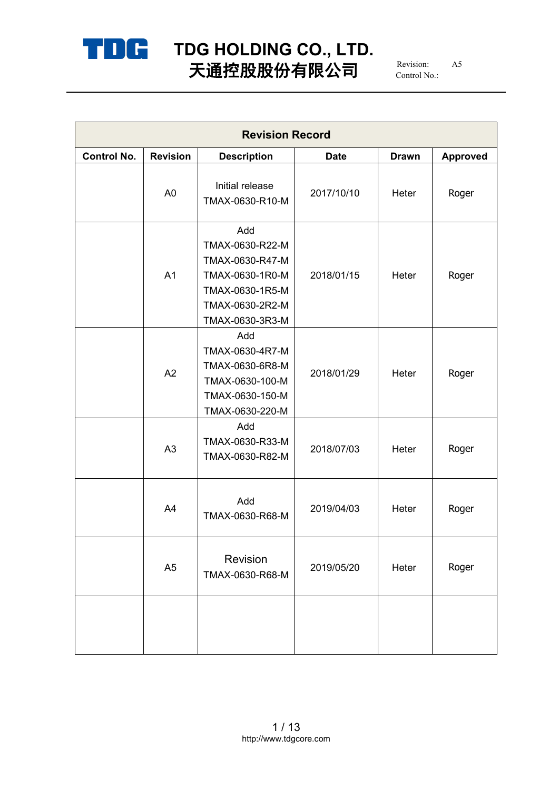

# **TDG HOLDING CO., LTD.** 天通控股股份有限公司  $_{\tiny\mbox{Control No.}}^{_{\tiny\mbox{Revision:}}}\quad$   $^{AS}$

Revision: A5 Control No.:

| <b>Revision Record</b> |                 |                                                                                                                       |             |              |          |  |
|------------------------|-----------------|-----------------------------------------------------------------------------------------------------------------------|-------------|--------------|----------|--|
| <b>Control No.</b>     | <b>Revision</b> | <b>Description</b>                                                                                                    | <b>Date</b> | <b>Drawn</b> | Approved |  |
|                        | A <sub>0</sub>  | Initial release<br>TMAX-0630-R10-M                                                                                    | 2017/10/10  | Heter        | Roger    |  |
|                        | A <sub>1</sub>  | Add<br>TMAX-0630-R22-M<br>TMAX-0630-R47-M<br>TMAX-0630-1R0-M<br>TMAX-0630-1R5-M<br>TMAX-0630-2R2-M<br>TMAX-0630-3R3-M | 2018/01/15  | Heter        | Roger    |  |
|                        | A2              | Add<br>TMAX-0630-4R7-M<br>TMAX-0630-6R8-M<br>TMAX-0630-100-M<br>TMAX-0630-150-M<br>TMAX-0630-220-M                    | 2018/01/29  | Heter        | Roger    |  |
|                        | A <sub>3</sub>  | Add<br>TMAX-0630-R33-M<br>TMAX-0630-R82-M                                                                             | 2018/07/03  | Heter        | Roger    |  |
|                        | A4              | Add<br>TMAX-0630-R68-M                                                                                                | 2019/04/03  | Heter        | Roger    |  |
|                        | A <sub>5</sub>  | Revision<br>TMAX-0630-R68-M                                                                                           | 2019/05/20  | Heter        | Roger    |  |
|                        |                 |                                                                                                                       |             |              |          |  |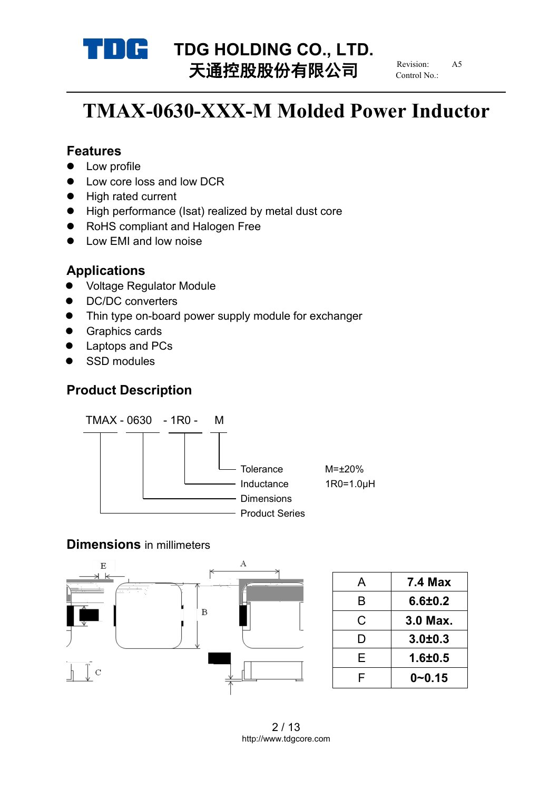

# **TDG HOLDING CO., LTD.**<br>
TX<del>HO</del>LDING **CO., LTD.** 天通控股股份有限公司

Revision: Control No.:

# **TMAX-0630-XXX-M Molded Power Inductor**

#### **Features**

- Low profile
- Low core loss and low DCR
- High rated current
- High performance (Isat) realized by metal dust core
- RoHS compliant and Halogen Free
- Low EMI and low noise

## **Applications**

- Voltage Regulator Module
- DC/DC converters
- Thin type on-board power supply module for exchanger
- **•** Graphics cards
- Laptops and PCs
- SSD modules

## **Product Description**



### **Dimensions** in millimeters



|   | <b>7.4 Max</b> |
|---|----------------|
| B | $6.6 + 0.2$    |
| C | 3.0 Max.       |
|   | $3.0 + 0.3$    |
| F | $1.6 + 0.5$    |
|   | $0 - 0.15$     |
|   |                |

2 / 13 http://www.tdgcore.com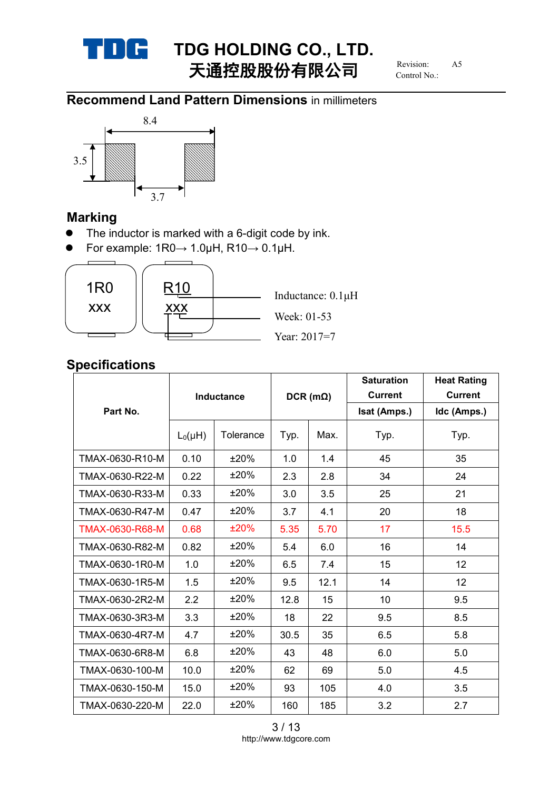

# **TDG HOLDING CO., LTD.**<br>
TXE **HOLDING CO., LTD.** 天通控股股份有限公司

Revision: Control No.:

# **Recommend Land Pattern Dimensions** in millimeters



## **Marking**

- The inductor is marked with a 6-digit code by ink.
- For example:  $1R0 \rightarrow 1.0\mu$ H,  $R10 \rightarrow 0.1\mu$ H.



## **Specifications**

|                 | Inductance   |           | $DCR$ (m $\Omega$ ) |      | <b>Saturation</b> | <b>Heat Rating</b> |
|-----------------|--------------|-----------|---------------------|------|-------------------|--------------------|
|                 |              |           |                     |      | <b>Current</b>    | <b>Current</b>     |
| Part No.        |              |           |                     |      | Isat (Amps.)      | Idc (Amps.)        |
|                 | $L_0(\mu H)$ | Tolerance | Typ.                | Max. | Typ.              | Typ.               |
| TMAX-0630-R10-M | 0.10         | ±20%      | 1.0                 | 1.4  | 45                | 35                 |
| TMAX-0630-R22-M | 0.22         | ±20%      | 2.3                 | 2.8  | 34                | 24                 |
| TMAX-0630-R33-M | 0.33         | $±20\%$   | 3.0                 | 3.5  | 25                | 21                 |
| TMAX-0630-R47-M | 0.47         | ±20%      | 3.7                 | 4.1  | 20                | 18                 |
| TMAX-0630-R68-M | 0.68         | ±20%      | 5.35                | 5.70 | 17                | 15.5               |
| TMAX-0630-R82-M | 0.82         | ±20%      | 5.4                 | 6.0  | 16                | 14                 |
| TMAX-0630-1R0-M | 1.0          | ±20%      | 6.5                 | 7.4  | 15                | 12 <sub>2</sub>    |
| TMAX-0630-1R5-M | 1.5          | ±20%      | 9.5                 | 12.1 | 14                | 12                 |
| TMAX-0630-2R2-M | 2.2          | ±20%      | 12.8                | 15   | 10                | 9.5                |
| TMAX-0630-3R3-M | 3.3          | ±20%      | 18                  | 22   | 9.5               | 8.5                |
| TMAX-0630-4R7-M | 4.7          | $±20\%$   | 30.5                | 35   | 6.5               | 5.8                |
| TMAX-0630-6R8-M | 6.8          | ±20%      | 43                  | 48   | 6.0               | 5.0                |
| TMAX-0630-100-M | 10.0         | ±20%      | 62                  | 69   | 5.0               | 4.5                |
| TMAX-0630-150-M | 15.0         | ±20%      | 93                  | 105  | 4.0               | 3.5                |
| TMAX-0630-220-M | 22.0         | ±20%      | 160                 | 185  | 3.2               | 2.7                |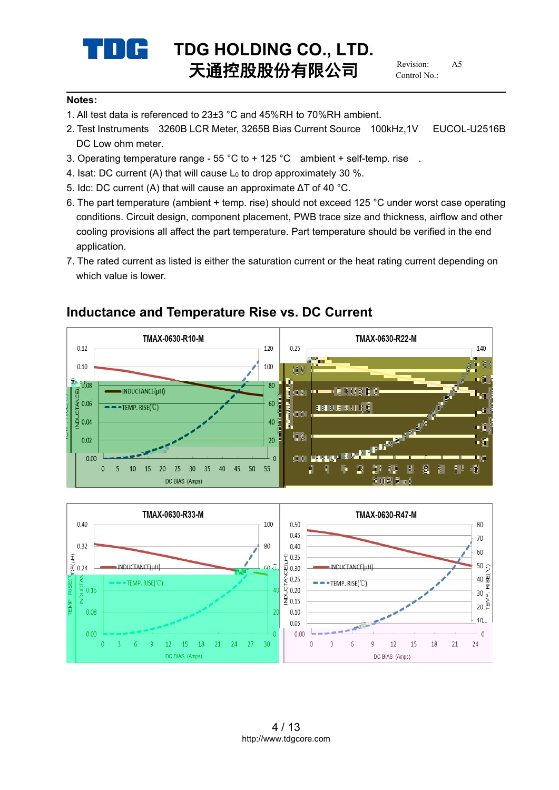

#### **Notes:**

- 1. All test data is referenced to 23±3 °C and 45%RH to 70%RH ambient.
- 2. Test Instruments 3260B LCR Meter, 3265B Bias Current Source 100kHz,1V EUCOL-U2516B DC Low ohm meter.
- 3. Operating temperature range 55 °C to + 125 °C ambient + self-temp. rise .
- 4. Isat: DC current (A) that will cause  $L_0$  to drop approximately 30 %.
- 5. Idc: DC current (A) that will cause an approximate ΔT of 40 °C.
- 6. The part temperature (ambient + temp. rise) should not exceed 125 °C underworst case operating conditions. Circuit design, component placement, PWB trace size and thickness, airflow and other cooling provisions all affect the part temperature. Part temperature should be verified in the end application.
- 7. The rated current as listed is either the saturation current or the heat rating current depending on which value is lower.



### **Inductance and Temperature Rise vs. DC Current**

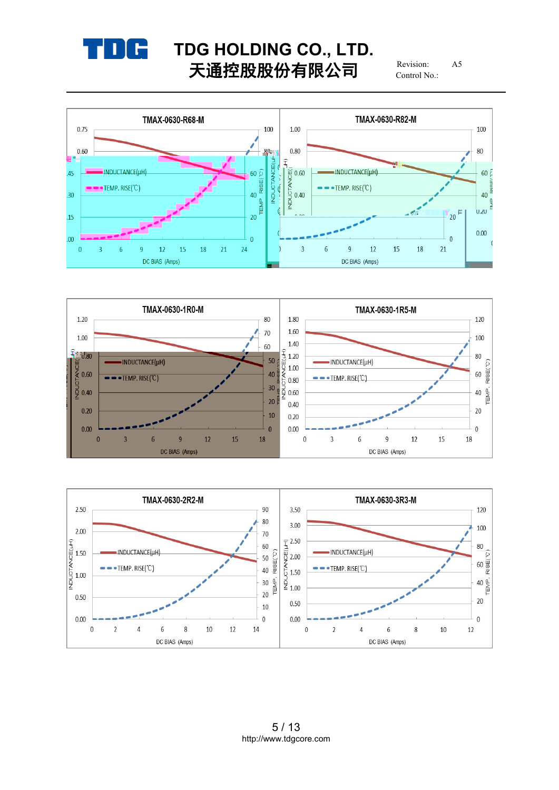

# **TDG HOLDING CO., LTD.**<br> **T THEREALL** 天通控股股份有限公司

Revision: Control No.:





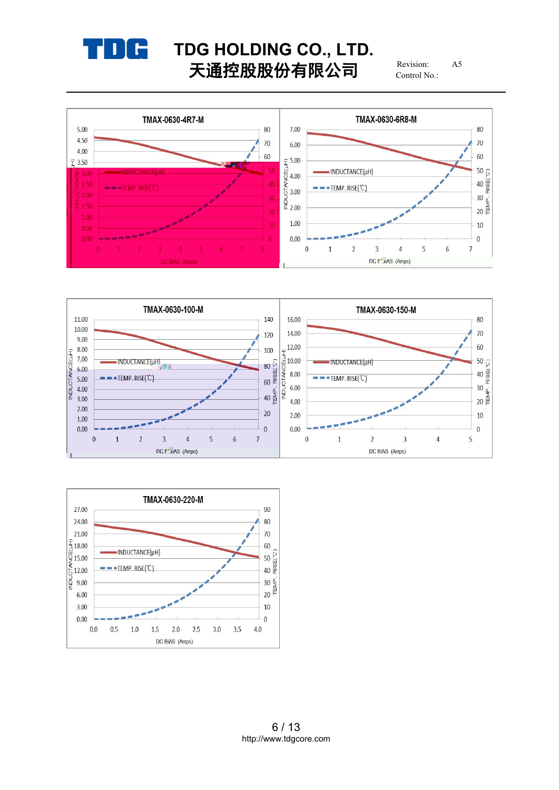

# **TDG HOLDING CO., LTD.**<br> **T THEREALL** 天通控股股份有限公司

Revision: Control No.:





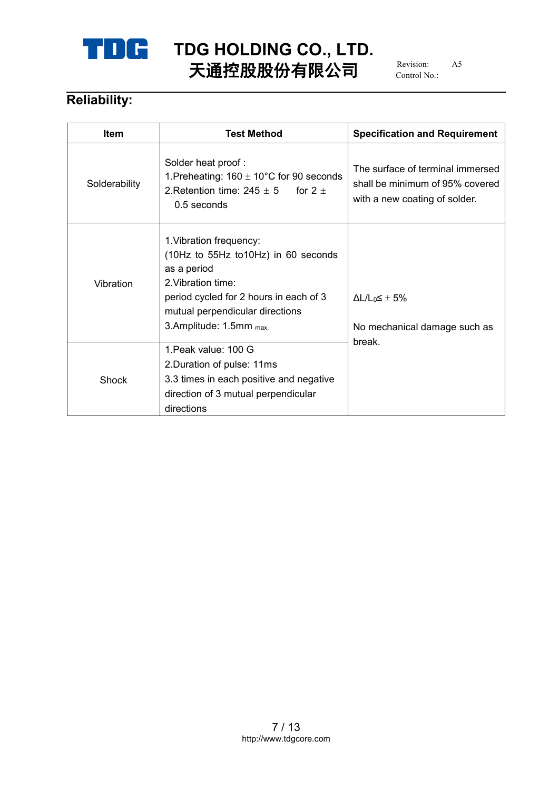

# **TDG HOLDING CO., LTD.**<br>
EXPERIENCE **Revision:** As 天通控股股份有限公司

Revision: Control No.:

# **Reliability:**

| <b>Item</b>   | <b>Test Method</b>                                                                                                                                                                                          | <b>Specification and Requirement</b>                                                                 |
|---------------|-------------------------------------------------------------------------------------------------------------------------------------------------------------------------------------------------------------|------------------------------------------------------------------------------------------------------|
| Solderability | Solder heat proof:<br>1. Preheating: $160 \pm 10^{\circ}$ C for 90 seconds<br>2. Retention time: $245 \pm 5$ for $2 \pm 1$<br>$0.5$ seconds                                                                 | The surface of terminal immersed<br>shall be minimum of 95% covered<br>with a new coating of solder. |
| Vibration     | 1. Vibration frequency:<br>(10Hz to 55Hz to10Hz) in 60 seconds<br>as a period<br>2. Vibration time:<br>period cycled for 2 hours in each of 3<br>mutual perpendicular directions<br>3.Amplitude: 1.5mm max. | $\Delta L/L_0 \leq \pm 5\%$<br>No mechanical damage such as                                          |
| Shock         | 1. Peak value: 100 G<br>2. Duration of pulse: 11ms<br>3.3 times in each positive and negative<br>direction of 3 mutual perpendicular<br>directions                                                          | break.                                                                                               |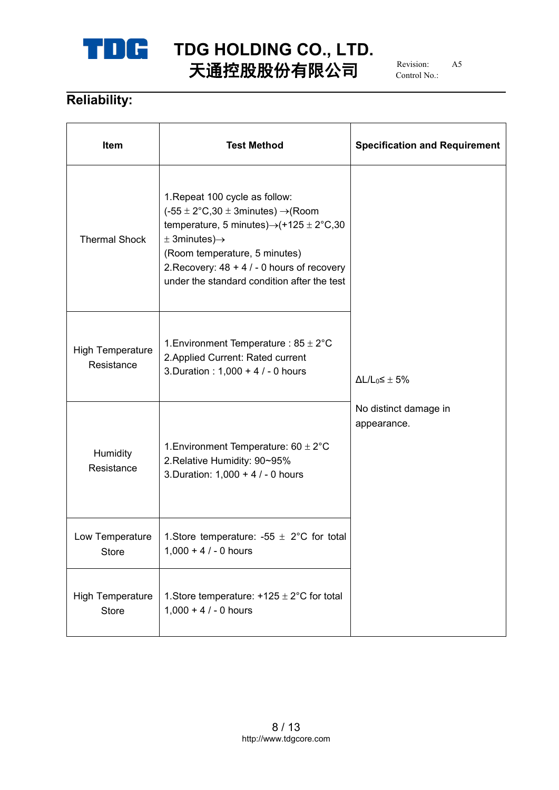

# **TDG HOLDING CO., LTD.**<br>
FX **EXPLANA** 天通控股股份有限公司

Revision: Control No.:

# **Reliability:**

| Item                                  | <b>Test Method</b>                                                                                                                                                                                                                                                                                                      | <b>Specification and Requirement</b> |  |
|---------------------------------------|-------------------------------------------------------------------------------------------------------------------------------------------------------------------------------------------------------------------------------------------------------------------------------------------------------------------------|--------------------------------------|--|
| <b>Thermal Shock</b>                  | 1. Repeat 100 cycle as follow:<br>$(-55 \pm 2^{\circ}C,30 \pm 3$ minutes) $\rightarrow$ (Room<br>temperature, 5 minutes) $\rightarrow$ (+125 ± 2°C,30<br>$\pm$ 3minutes) $\rightarrow$<br>(Room temperature, 5 minutes)<br>2. Recovery: $48 + 4 / - 0$ hours of recovery<br>under the standard condition after the test |                                      |  |
| <b>High Temperature</b><br>Resistance | 1. Environment Temperature : $85 \pm 2^{\circ}$ C<br>2. Applied Current: Rated current<br>3. Duration : 1,000 + 4 / - 0 hours                                                                                                                                                                                           | $\Delta L/L_0 \leq \pm 5\%$          |  |
| Humidity<br>Resistance                | 1. Environment Temperature: $60 \pm 2^{\circ}$ C<br>2. Relative Humidity: 90~95%<br>3. Duration: 1,000 + 4 / - 0 hours                                                                                                                                                                                                  | No distinct damage in<br>appearance. |  |
| Low Temperature<br><b>Store</b>       | 1. Store temperature: -55 $\pm$ 2°C for total<br>$1,000 + 4 / - 0$ hours                                                                                                                                                                                                                                                |                                      |  |
| <b>High Temperature</b><br>Store      | 1. Store temperature: $+125 \pm 2^{\circ}$ C for total<br>$1,000 + 4 / - 0$ hours                                                                                                                                                                                                                                       |                                      |  |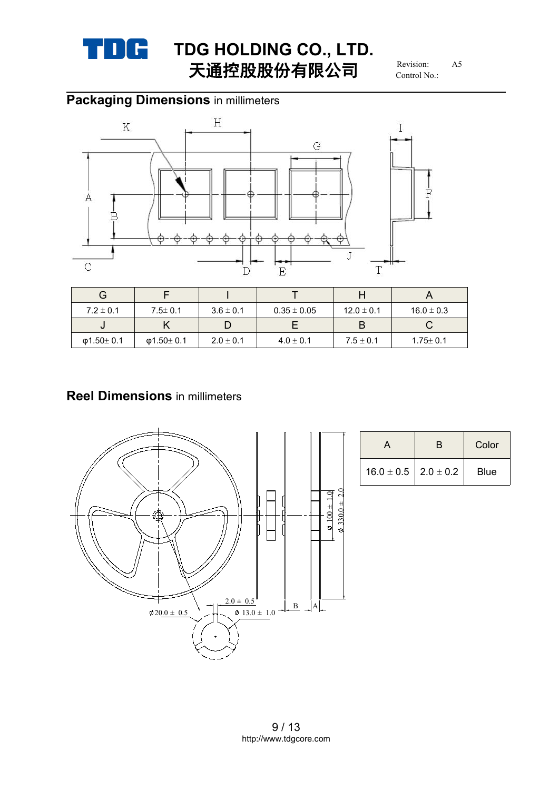

# **TDG HOLDING CO., LTD.**<br>
FX **HOLDING CO., LTD.** 天通控股股份有限公司

Revision: Control No.:

# **Packaging Dimensions** in millimeters



| G             |               |               |                 |                |                |
|---------------|---------------|---------------|-----------------|----------------|----------------|
| $7.2 \pm 0.1$ | $7.5 \pm 0.1$ | $3.6 \pm 0.1$ | $0.35 \pm 0.05$ | $12.0 \pm 0.1$ | $16.0 \pm 0.3$ |
| J             |               |               |                 |                |                |
| Φ1.50 $±$ 0.1 | Φ1.50 $±$ 0.1 | $2.0 \pm 0.1$ | $4.0 \pm 0.1$   | $7.5 \pm 0.1$  | $1.75 \pm 0.1$ |

## **Reel Dimensions** in millimeters



|                                | Color       |
|--------------------------------|-------------|
| $16.0 \pm 0.5$   2.0 $\pm$ 0.2 | <b>Blue</b> |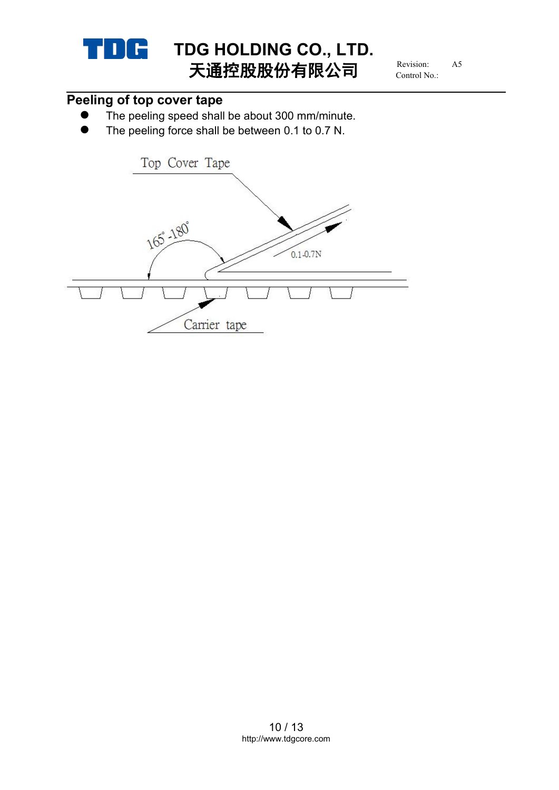

# **Peeling of top cover tape**

- The peeling speed shall be about 300 mm/minute.
- The peeling force shall be between 0.1 to 0.7 N.

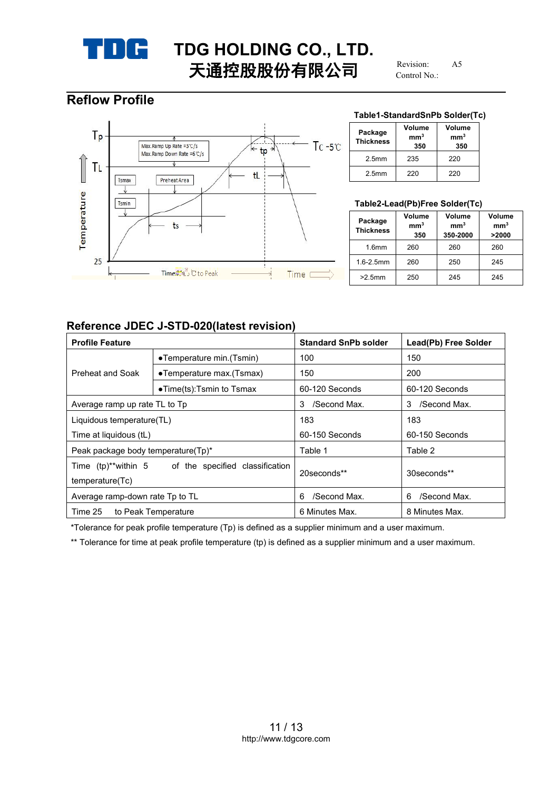

## **Reflow Profile**



#### **Table1-StandardSnPb Solder(Tc)**

| Package<br><b>Thickness</b> | Volume<br>mm <sup>3</sup><br>350 | Volume<br>mm <sup>3</sup><br>350 |
|-----------------------------|----------------------------------|----------------------------------|
| 2.5 <sub>mm</sub>           | 235                              | 220                              |
| 2.5 <sub>mm</sub>           | 220                              | 220                              |

#### **Table2-Lead(Pb)Free Solder(Tc)**

| Package<br><b>Thickness</b> | Volume<br>mm <sup>3</sup><br>350 | Volume<br>mm <sup>3</sup><br>350-2000 | Volume<br>mm <sup>3</sup><br>>2000 |
|-----------------------------|----------------------------------|---------------------------------------|------------------------------------|
| 1.6 <sub>mm</sub>           | 260                              | 260                                   | 260                                |
| $1.6 - 2.5$ mm              | 260                              | 250                                   | 245                                |
| $>2.5$ mm                   | 250                              | 245                                   | 245                                |

#### **Reference JDEC J-STD-020(latest revision)**

| <b>Profile Feature</b>                                                 |                                   | <b>Standard SnPb solder</b> | Lead(Pb) Free Solder |
|------------------------------------------------------------------------|-----------------------------------|-----------------------------|----------------------|
| •Temperature min. (Tsmin)                                              |                                   | 100                         | 150                  |
| Preheat and Soak                                                       | •Temperature max.(Tsmax)          | 150                         | 200                  |
|                                                                        | $\bullet$ Time(ts):Tsmin to Tsmax | 60-120 Seconds              | 60-120 Seconds       |
| Average ramp up rate TL to Tp                                          |                                   | /Second Max.<br>3           | /Second Max.<br>3    |
| Liquidous temperature(TL)                                              |                                   | 183                         | 183                  |
| Time at liquidous (tL)                                                 |                                   | 60-150 Seconds              | 60-150 Seconds       |
| Peak package body temperature(Tp)*                                     |                                   | Table 1                     | Table 2              |
| Time (tp)**within 5 of the specified classification<br>temperature(Tc) |                                   | 20 seconds**                | 30seconds**          |
| Average ramp-down rate Tp to TL                                        |                                   | /Second Max.<br>6           | /Second Max.<br>6    |
| Time 25                                                                | to Peak Temperature               | 6 Minutes Max.              | 8 Minutes Max.       |

\*Tolerance for peak profile temperature (Tp) is defined as a supplier minimum and a user maximum.

\*\* Tolerance for time at peak profile temperature (tp) is defined as a supplier minimum and a user maximum.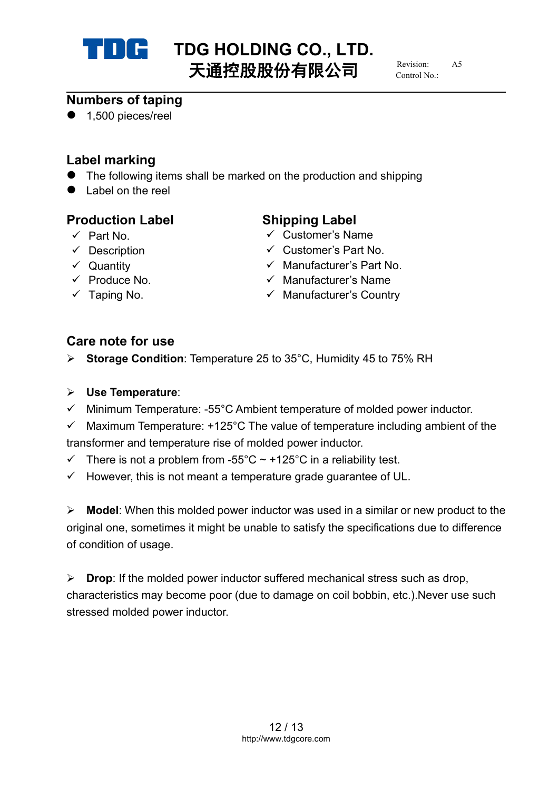

# **TDG HOLDING CO., LTD.**<br>
TX<del>LDIN</del>IN (1)  $\pm$  55 1) Revision AS 天通控股股份有限公司

 $R$ evision: Control No.:

## **Numbers of taping**

● 1,500 pieces/reel

# **Label marking**

- The following items shall be marked on the production and shipping
- Label on the reel

## **Production Label Shipping Label**

- 
- 
- 
- 
- 

- Part No. Customer's Name
- $\checkmark$  Description  $\checkmark$  Customer's Part No.
- Quantity Manufacturer's Part No.
- $\checkmark$  Produce No.  $\checkmark$  Manufacturer's Name
- $\checkmark$  Taping No.  $\checkmark$  Manufacturer's Country

# **Care note for use**

- **► Storage Condition: Temperature 25 to 35°C, Humidity 45 to 75% RH**
- **Use Temperature**:
- $\checkmark$  Minimum Temperature: -55°C Ambient temperature of molded power inductor.
- $\checkmark$  Maximum Temperature: +125°C The value of temperature including ambient of the transformer and temperature rise of molded power inductor.
- $\checkmark$  There is not a problem from -55°C ~ +125°C in a reliability test.
- $\checkmark$  However, this is not meant a temperature grade guarantee of UL.

**Model:** When this molded power inductor was used in a similar or new product to the original one, sometimes it might be unable to satisfy the specifications due to difference of condition of usage.

**Drop:** If the molded power inductor suffered mechanical stress such as drop, characteristics may become poor (due to damage on coil bobbin, etc.).Never use such stressed molded power inductor.